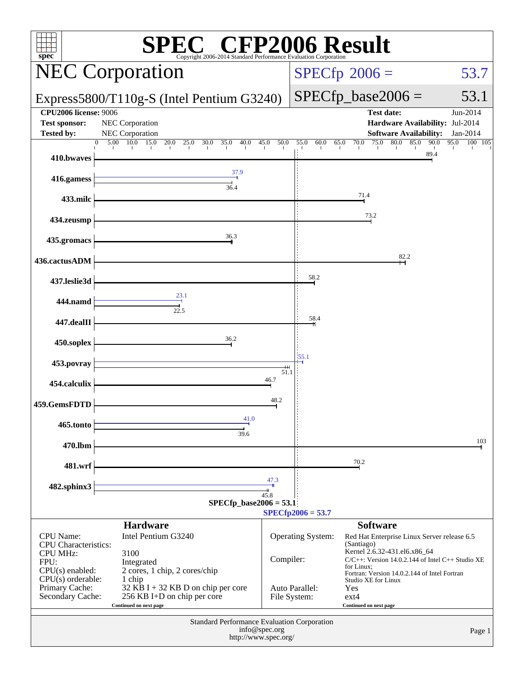| <b>SPEC<sup>®</sup></b> CFP2006 Result<br>$spec*$<br>Copyright 2006-2014 Standard Performance Evaluation Corporation |                                                                                               |              |                                                                                                   |                                                                                                                                                |                      |  |  |  |  |
|----------------------------------------------------------------------------------------------------------------------|-----------------------------------------------------------------------------------------------|--------------|---------------------------------------------------------------------------------------------------|------------------------------------------------------------------------------------------------------------------------------------------------|----------------------|--|--|--|--|
| <b>NEC Corporation</b>                                                                                               |                                                                                               |              | $SPECfp^{\circ}2006 =$<br>53.7                                                                    |                                                                                                                                                |                      |  |  |  |  |
| Express5800/T110g-S (Intel Pentium G3240)                                                                            |                                                                                               |              |                                                                                                   | $SPECfp\_base2006 =$                                                                                                                           | 53.1                 |  |  |  |  |
| <b>CPU2006 license: 9006</b><br><b>Test sponsor:</b><br><b>Tested by:</b>                                            | NEC Corporation<br>NEC Corporation                                                            |              |                                                                                                   | <b>Test date:</b><br>Hardware Availability: Jul-2014<br><b>Software Availability:</b>                                                          | Jun-2014<br>Jan-2014 |  |  |  |  |
| 410.bwaves                                                                                                           | $5.00 \quad 10.0$<br>15.0<br>20.0<br>25.0<br>30.0<br>35.0<br>40.0<br>$\Omega$                 | 45.0<br>50.0 | 55.0<br>60.0                                                                                      | 65.0<br>70.0<br>75.0<br>80.0<br>85.0<br>90.0<br>89.4                                                                                           | 95.0<br>100<br>105   |  |  |  |  |
| 416.gamess                                                                                                           | 37.9                                                                                          |              |                                                                                                   |                                                                                                                                                |                      |  |  |  |  |
| 433.milc                                                                                                             | 36.4                                                                                          |              |                                                                                                   | 71.4                                                                                                                                           |                      |  |  |  |  |
| 434.zeusmp                                                                                                           |                                                                                               |              |                                                                                                   | 73.2                                                                                                                                           |                      |  |  |  |  |
| 435.gromacs                                                                                                          | 36.3                                                                                          |              |                                                                                                   |                                                                                                                                                |                      |  |  |  |  |
| 436.cactusADM                                                                                                        |                                                                                               |              |                                                                                                   | 82.2                                                                                                                                           |                      |  |  |  |  |
| 437.leslie3d                                                                                                         |                                                                                               |              | 58.2                                                                                              |                                                                                                                                                |                      |  |  |  |  |
| 444.namd                                                                                                             | 23.1                                                                                          |              |                                                                                                   |                                                                                                                                                |                      |  |  |  |  |
| 447.dealII                                                                                                           | $\overline{22.5}$                                                                             |              | 58.4                                                                                              |                                                                                                                                                |                      |  |  |  |  |
| 450.soplex                                                                                                           | 36.2                                                                                          |              |                                                                                                   |                                                                                                                                                |                      |  |  |  |  |
| 453.povray                                                                                                           |                                                                                               | $^{\rm + +}$ | 55.1                                                                                              |                                                                                                                                                |                      |  |  |  |  |
| 454.calculix                                                                                                         |                                                                                               | 51.1<br>46.7 |                                                                                                   |                                                                                                                                                |                      |  |  |  |  |
| 459.GemsFDTD                                                                                                         |                                                                                               | 48.2         |                                                                                                   |                                                                                                                                                |                      |  |  |  |  |
| 465.tonto                                                                                                            | 41.0<br>39.6                                                                                  |              |                                                                                                   |                                                                                                                                                |                      |  |  |  |  |
| 470.lbm                                                                                                              |                                                                                               |              |                                                                                                   |                                                                                                                                                | 103                  |  |  |  |  |
| 481.wrf                                                                                                              |                                                                                               |              |                                                                                                   | 70.2                                                                                                                                           |                      |  |  |  |  |
| 482.sphinx3                                                                                                          |                                                                                               | 47.3<br>45.8 |                                                                                                   |                                                                                                                                                |                      |  |  |  |  |
| $SPECfp\_base2006 = 53.1$<br>$SPECfp2006 = 53.7$                                                                     |                                                                                               |              |                                                                                                   |                                                                                                                                                |                      |  |  |  |  |
| <b>CPU</b> Name:<br><b>CPU</b> Characteristics:                                                                      | <b>Hardware</b><br>Intel Pentium G3240                                                        |              | <b>Software</b><br>Operating System:<br>Red Hat Enterprise Linux Server release 6.5<br>(Santiago) |                                                                                                                                                |                      |  |  |  |  |
| <b>CPU MHz:</b><br>FPU:<br>$CPU(s)$ enabled:<br>CPU(s) orderable:                                                    | 3100<br>Integrated<br>2 cores, 1 chip, 2 cores/chip<br>1 chip                                 | Compiler:    |                                                                                                   | Kernel 2.6.32-431.el6.x86_64<br>C/C++: Version 14.0.2.144 of Intel C++ Studio XE<br>for Linux;<br>Fortran: Version 14.0.2.144 of Intel Fortran |                      |  |  |  |  |
| Primary Cache:<br>Secondary Cache:                                                                                   | $32$ KB I + 32 KB D on chip per core<br>256 KB I+D on chip per core<br>Continued on next page |              | Auto Parallel:<br>File System:                                                                    | Studio XE for Linux<br>Yes<br>$ext{4}$<br>Continued on next page                                                                               |                      |  |  |  |  |
| Standard Performance Evaluation Corporation<br>info@spec.org<br>Page 1<br>http://www.spec.org/                       |                                                                                               |              |                                                                                                   |                                                                                                                                                |                      |  |  |  |  |
|                                                                                                                      |                                                                                               |              |                                                                                                   |                                                                                                                                                |                      |  |  |  |  |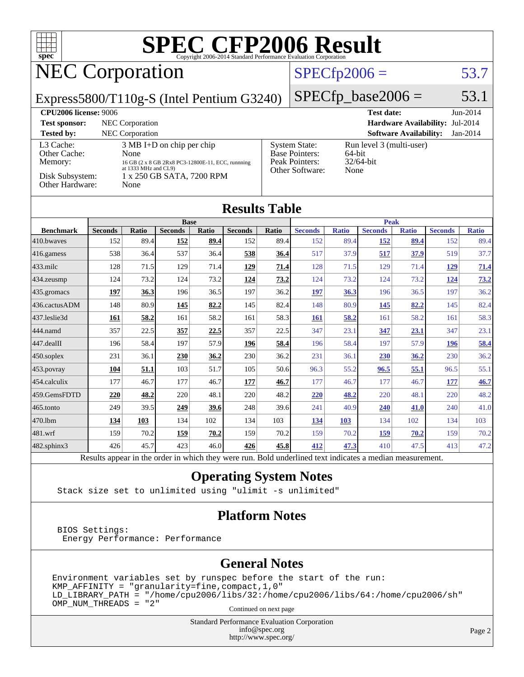

Results appear in the [order in which they were run.](http://www.spec.org/auto/cpu2006/Docs/result-fields.html#RunOrder) Bold underlined text [indicates a median measurement.](http://www.spec.org/auto/cpu2006/Docs/result-fields.html#Median)

#### **[Operating System Notes](http://www.spec.org/auto/cpu2006/Docs/result-fields.html#OperatingSystemNotes)**

Stack size set to unlimited using "ulimit -s unlimited"

#### **[Platform Notes](http://www.spec.org/auto/cpu2006/Docs/result-fields.html#PlatformNotes)**

 BIOS Settings: Energy Performance: Performance

#### **[General Notes](http://www.spec.org/auto/cpu2006/Docs/result-fields.html#GeneralNotes)**

Environment variables set by runspec before the start of the run: KMP\_AFFINITY = "granularity=fine,compact,1,0" LD\_LIBRARY\_PATH = "/home/cpu2006/libs/32:/home/cpu2006/libs/64:/home/cpu2006/sh" OMP\_NUM\_THREADS = "2" Continued on next page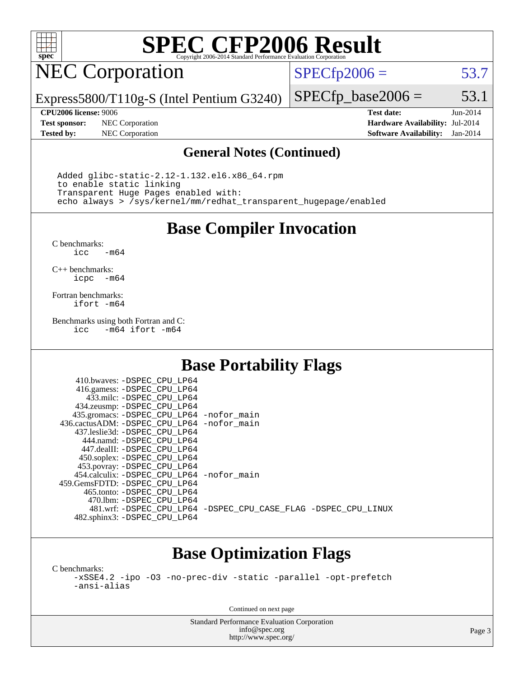

# **[SPEC CFP2006 Result](http://www.spec.org/auto/cpu2006/Docs/result-fields.html#SPECCFP2006Result)**

# NEC Corporation

 $SPECTp2006 = 53.7$ 

Express5800/T110g-S (Intel Pentium G3240)

**[Tested by:](http://www.spec.org/auto/cpu2006/Docs/result-fields.html#Testedby)** NEC Corporation **[Software Availability:](http://www.spec.org/auto/cpu2006/Docs/result-fields.html#SoftwareAvailability)** Jan-2014

 $SPECTp\_base2006 = 53.1$ **[CPU2006 license:](http://www.spec.org/auto/cpu2006/Docs/result-fields.html#CPU2006license)** 9006 **[Test date:](http://www.spec.org/auto/cpu2006/Docs/result-fields.html#Testdate)** Jun-2014 **[Test sponsor:](http://www.spec.org/auto/cpu2006/Docs/result-fields.html#Testsponsor)** NEC Corporation **[Hardware Availability:](http://www.spec.org/auto/cpu2006/Docs/result-fields.html#HardwareAvailability)** Jul-2014

#### **[General Notes \(Continued\)](http://www.spec.org/auto/cpu2006/Docs/result-fields.html#GeneralNotes)**

 Added glibc-static-2.12-1.132.el6.x86\_64.rpm to enable static linking Transparent Huge Pages enabled with: echo always > /sys/kernel/mm/redhat\_transparent\_hugepage/enabled

**[Base Compiler Invocation](http://www.spec.org/auto/cpu2006/Docs/result-fields.html#BaseCompilerInvocation)**

[C benchmarks](http://www.spec.org/auto/cpu2006/Docs/result-fields.html#Cbenchmarks):  $-m64$ 

[C++ benchmarks:](http://www.spec.org/auto/cpu2006/Docs/result-fields.html#CXXbenchmarks) [icpc -m64](http://www.spec.org/cpu2006/results/res2014q3/cpu2006-20140806-30808.flags.html#user_CXXbase_intel_icpc_64bit_bedb90c1146cab66620883ef4f41a67e)

[Fortran benchmarks](http://www.spec.org/auto/cpu2006/Docs/result-fields.html#Fortranbenchmarks): [ifort -m64](http://www.spec.org/cpu2006/results/res2014q3/cpu2006-20140806-30808.flags.html#user_FCbase_intel_ifort_64bit_ee9d0fb25645d0210d97eb0527dcc06e)

[Benchmarks using both Fortran and C](http://www.spec.org/auto/cpu2006/Docs/result-fields.html#BenchmarksusingbothFortranandC): [icc -m64](http://www.spec.org/cpu2006/results/res2014q3/cpu2006-20140806-30808.flags.html#user_CC_FCbase_intel_icc_64bit_0b7121f5ab7cfabee23d88897260401c) [ifort -m64](http://www.spec.org/cpu2006/results/res2014q3/cpu2006-20140806-30808.flags.html#user_CC_FCbase_intel_ifort_64bit_ee9d0fb25645d0210d97eb0527dcc06e)

### **[Base Portability Flags](http://www.spec.org/auto/cpu2006/Docs/result-fields.html#BasePortabilityFlags)**

| 410.bwaves: -DSPEC CPU LP64                |                                                                |
|--------------------------------------------|----------------------------------------------------------------|
| 416.gamess: -DSPEC_CPU_LP64                |                                                                |
| 433.milc: -DSPEC CPU LP64                  |                                                                |
| 434.zeusmp: -DSPEC_CPU_LP64                |                                                                |
| 435.gromacs: -DSPEC_CPU_LP64 -nofor_main   |                                                                |
| 436.cactusADM: -DSPEC CPU LP64 -nofor main |                                                                |
| 437.leslie3d: -DSPEC CPU LP64              |                                                                |
| 444.namd: -DSPEC CPU LP64                  |                                                                |
| 447.dealII: -DSPEC CPU LP64                |                                                                |
| 450.soplex: -DSPEC CPU LP64                |                                                                |
| 453.povray: -DSPEC_CPU_LP64                |                                                                |
| 454.calculix: -DSPEC CPU LP64 -nofor main  |                                                                |
| 459.GemsFDTD: - DSPEC_CPU LP64             |                                                                |
| 465.tonto: - DSPEC CPU LP64                |                                                                |
| 470.1bm: - DSPEC CPU LP64                  |                                                                |
|                                            | 481.wrf: -DSPEC_CPU_LP64 -DSPEC_CPU_CASE_FLAG -DSPEC_CPU_LINUX |
| 482.sphinx3: -DSPEC_CPU_LP64               |                                                                |

## **[Base Optimization Flags](http://www.spec.org/auto/cpu2006/Docs/result-fields.html#BaseOptimizationFlags)**

[C benchmarks](http://www.spec.org/auto/cpu2006/Docs/result-fields.html#Cbenchmarks):

[-xSSE4.2](http://www.spec.org/cpu2006/results/res2014q3/cpu2006-20140806-30808.flags.html#user_CCbase_f-xSSE42_f91528193cf0b216347adb8b939d4107) [-ipo](http://www.spec.org/cpu2006/results/res2014q3/cpu2006-20140806-30808.flags.html#user_CCbase_f-ipo) [-O3](http://www.spec.org/cpu2006/results/res2014q3/cpu2006-20140806-30808.flags.html#user_CCbase_f-O3) [-no-prec-div](http://www.spec.org/cpu2006/results/res2014q3/cpu2006-20140806-30808.flags.html#user_CCbase_f-no-prec-div) [-static](http://www.spec.org/cpu2006/results/res2014q3/cpu2006-20140806-30808.flags.html#user_CCbase_f-static) [-parallel](http://www.spec.org/cpu2006/results/res2014q3/cpu2006-20140806-30808.flags.html#user_CCbase_f-parallel) [-opt-prefetch](http://www.spec.org/cpu2006/results/res2014q3/cpu2006-20140806-30808.flags.html#user_CCbase_f-opt-prefetch) [-ansi-alias](http://www.spec.org/cpu2006/results/res2014q3/cpu2006-20140806-30808.flags.html#user_CCbase_f-ansi-alias)

Continued on next page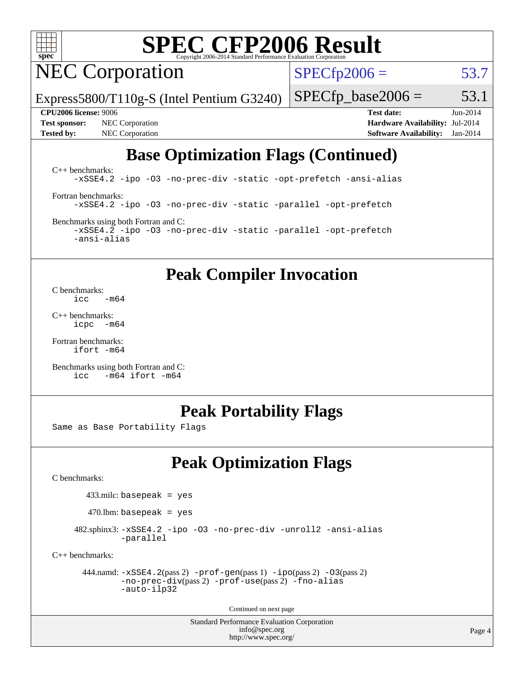

# **[SPEC CFP2006 Result](http://www.spec.org/auto/cpu2006/Docs/result-fields.html#SPECCFP2006Result)**

NEC Corporation

 $SPECTp2006 = 53.7$ 

Express5800/T110g-S (Intel Pentium G3240)

**[Tested by:](http://www.spec.org/auto/cpu2006/Docs/result-fields.html#Testedby)** NEC Corporation **[Software Availability:](http://www.spec.org/auto/cpu2006/Docs/result-fields.html#SoftwareAvailability)** Jan-2014

**[CPU2006 license:](http://www.spec.org/auto/cpu2006/Docs/result-fields.html#CPU2006license)** 9006 **[Test date:](http://www.spec.org/auto/cpu2006/Docs/result-fields.html#Testdate)** Jun-2014 **[Test sponsor:](http://www.spec.org/auto/cpu2006/Docs/result-fields.html#Testsponsor)** NEC Corporation **[Hardware Availability:](http://www.spec.org/auto/cpu2006/Docs/result-fields.html#HardwareAvailability)** Jul-2014

 $SPECTp\_base2006 = 53.1$ 

## **[Base Optimization Flags \(Continued\)](http://www.spec.org/auto/cpu2006/Docs/result-fields.html#BaseOptimizationFlags)**

[C++ benchmarks:](http://www.spec.org/auto/cpu2006/Docs/result-fields.html#CXXbenchmarks) [-xSSE4.2](http://www.spec.org/cpu2006/results/res2014q3/cpu2006-20140806-30808.flags.html#user_CXXbase_f-xSSE42_f91528193cf0b216347adb8b939d4107) [-ipo](http://www.spec.org/cpu2006/results/res2014q3/cpu2006-20140806-30808.flags.html#user_CXXbase_f-ipo) [-O3](http://www.spec.org/cpu2006/results/res2014q3/cpu2006-20140806-30808.flags.html#user_CXXbase_f-O3) [-no-prec-div](http://www.spec.org/cpu2006/results/res2014q3/cpu2006-20140806-30808.flags.html#user_CXXbase_f-no-prec-div) [-static](http://www.spec.org/cpu2006/results/res2014q3/cpu2006-20140806-30808.flags.html#user_CXXbase_f-static) [-opt-prefetch](http://www.spec.org/cpu2006/results/res2014q3/cpu2006-20140806-30808.flags.html#user_CXXbase_f-opt-prefetch) [-ansi-alias](http://www.spec.org/cpu2006/results/res2014q3/cpu2006-20140806-30808.flags.html#user_CXXbase_f-ansi-alias) [Fortran benchmarks](http://www.spec.org/auto/cpu2006/Docs/result-fields.html#Fortranbenchmarks): [-xSSE4.2](http://www.spec.org/cpu2006/results/res2014q3/cpu2006-20140806-30808.flags.html#user_FCbase_f-xSSE42_f91528193cf0b216347adb8b939d4107) [-ipo](http://www.spec.org/cpu2006/results/res2014q3/cpu2006-20140806-30808.flags.html#user_FCbase_f-ipo) [-O3](http://www.spec.org/cpu2006/results/res2014q3/cpu2006-20140806-30808.flags.html#user_FCbase_f-O3) [-no-prec-div](http://www.spec.org/cpu2006/results/res2014q3/cpu2006-20140806-30808.flags.html#user_FCbase_f-no-prec-div) [-static](http://www.spec.org/cpu2006/results/res2014q3/cpu2006-20140806-30808.flags.html#user_FCbase_f-static) [-parallel](http://www.spec.org/cpu2006/results/res2014q3/cpu2006-20140806-30808.flags.html#user_FCbase_f-parallel) [-opt-prefetch](http://www.spec.org/cpu2006/results/res2014q3/cpu2006-20140806-30808.flags.html#user_FCbase_f-opt-prefetch) [Benchmarks using both Fortran and C](http://www.spec.org/auto/cpu2006/Docs/result-fields.html#BenchmarksusingbothFortranandC):

[-xSSE4.2](http://www.spec.org/cpu2006/results/res2014q3/cpu2006-20140806-30808.flags.html#user_CC_FCbase_f-xSSE42_f91528193cf0b216347adb8b939d4107) [-ipo](http://www.spec.org/cpu2006/results/res2014q3/cpu2006-20140806-30808.flags.html#user_CC_FCbase_f-ipo) [-O3](http://www.spec.org/cpu2006/results/res2014q3/cpu2006-20140806-30808.flags.html#user_CC_FCbase_f-O3) [-no-prec-div](http://www.spec.org/cpu2006/results/res2014q3/cpu2006-20140806-30808.flags.html#user_CC_FCbase_f-no-prec-div) [-static](http://www.spec.org/cpu2006/results/res2014q3/cpu2006-20140806-30808.flags.html#user_CC_FCbase_f-static) [-parallel](http://www.spec.org/cpu2006/results/res2014q3/cpu2006-20140806-30808.flags.html#user_CC_FCbase_f-parallel) [-opt-prefetch](http://www.spec.org/cpu2006/results/res2014q3/cpu2006-20140806-30808.flags.html#user_CC_FCbase_f-opt-prefetch) [-ansi-alias](http://www.spec.org/cpu2006/results/res2014q3/cpu2006-20140806-30808.flags.html#user_CC_FCbase_f-ansi-alias)

## **[Peak Compiler Invocation](http://www.spec.org/auto/cpu2006/Docs/result-fields.html#PeakCompilerInvocation)**

[C benchmarks](http://www.spec.org/auto/cpu2006/Docs/result-fields.html#Cbenchmarks):<br> $\frac{icc}{c}$  $-m64$ 

[C++ benchmarks:](http://www.spec.org/auto/cpu2006/Docs/result-fields.html#CXXbenchmarks) [icpc -m64](http://www.spec.org/cpu2006/results/res2014q3/cpu2006-20140806-30808.flags.html#user_CXXpeak_intel_icpc_64bit_bedb90c1146cab66620883ef4f41a67e)

[Fortran benchmarks](http://www.spec.org/auto/cpu2006/Docs/result-fields.html#Fortranbenchmarks): [ifort -m64](http://www.spec.org/cpu2006/results/res2014q3/cpu2006-20140806-30808.flags.html#user_FCpeak_intel_ifort_64bit_ee9d0fb25645d0210d97eb0527dcc06e)

[Benchmarks using both Fortran and C](http://www.spec.org/auto/cpu2006/Docs/result-fields.html#BenchmarksusingbothFortranandC): [icc -m64](http://www.spec.org/cpu2006/results/res2014q3/cpu2006-20140806-30808.flags.html#user_CC_FCpeak_intel_icc_64bit_0b7121f5ab7cfabee23d88897260401c) [ifort -m64](http://www.spec.org/cpu2006/results/res2014q3/cpu2006-20140806-30808.flags.html#user_CC_FCpeak_intel_ifort_64bit_ee9d0fb25645d0210d97eb0527dcc06e)

### **[Peak Portability Flags](http://www.spec.org/auto/cpu2006/Docs/result-fields.html#PeakPortabilityFlags)**

Same as Base Portability Flags

## **[Peak Optimization Flags](http://www.spec.org/auto/cpu2006/Docs/result-fields.html#PeakOptimizationFlags)**

[C benchmarks](http://www.spec.org/auto/cpu2006/Docs/result-fields.html#Cbenchmarks):

433.milc: basepeak = yes

 $470$ .lbm: basepeak = yes

 482.sphinx3: [-xSSE4.2](http://www.spec.org/cpu2006/results/res2014q3/cpu2006-20140806-30808.flags.html#user_peakOPTIMIZE482_sphinx3_f-xSSE42_f91528193cf0b216347adb8b939d4107) [-ipo](http://www.spec.org/cpu2006/results/res2014q3/cpu2006-20140806-30808.flags.html#user_peakOPTIMIZE482_sphinx3_f-ipo) [-O3](http://www.spec.org/cpu2006/results/res2014q3/cpu2006-20140806-30808.flags.html#user_peakOPTIMIZE482_sphinx3_f-O3) [-no-prec-div](http://www.spec.org/cpu2006/results/res2014q3/cpu2006-20140806-30808.flags.html#user_peakOPTIMIZE482_sphinx3_f-no-prec-div) [-unroll2](http://www.spec.org/cpu2006/results/res2014q3/cpu2006-20140806-30808.flags.html#user_peakCOPTIMIZE482_sphinx3_f-unroll_784dae83bebfb236979b41d2422d7ec2) [-ansi-alias](http://www.spec.org/cpu2006/results/res2014q3/cpu2006-20140806-30808.flags.html#user_peakCOPTIMIZE482_sphinx3_f-ansi-alias) [-parallel](http://www.spec.org/cpu2006/results/res2014q3/cpu2006-20140806-30808.flags.html#user_peakCOPTIMIZE482_sphinx3_f-parallel)

[C++ benchmarks:](http://www.spec.org/auto/cpu2006/Docs/result-fields.html#CXXbenchmarks)

```
 444.namd: -xSSE4.2(pass 2) -prof-gen(pass 1) -ipo(pass 2) -O3(pass 2)
-no-prec-div(pass 2) -prof-use(pass 2) -fno-alias
-auto-ilp32
```
Continued on next page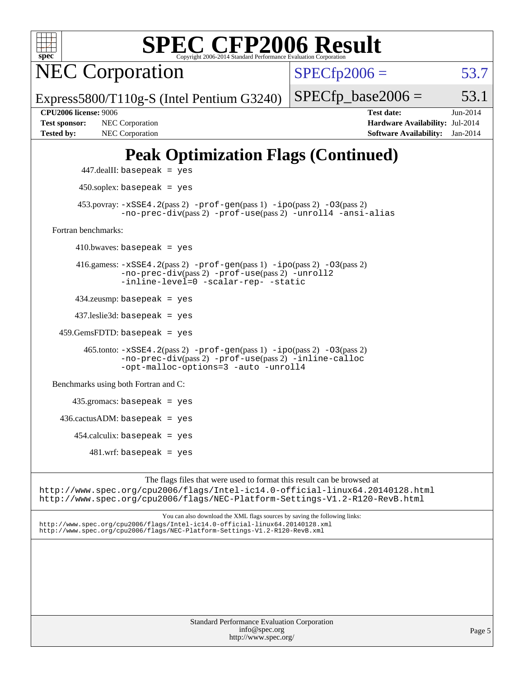

| <b>Standard Performance Evaluation Corporation</b> |
|----------------------------------------------------|
| info@spec.org                                      |
| http://www.spec.org/                               |